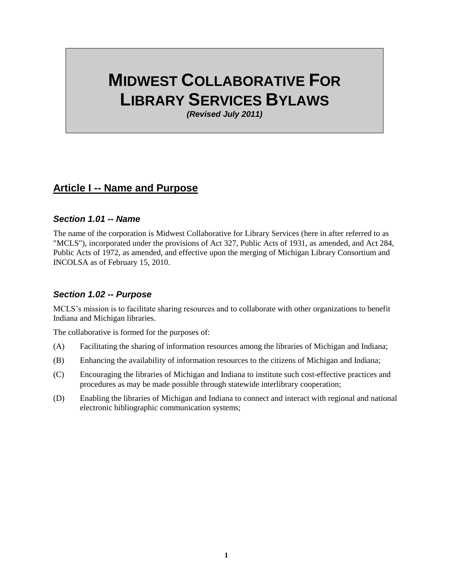# **MIDWEST COLLABORATIVE FOR LIBRARY SERVICES BYLAWS**

*(Revised July 2011)*

### **Article I -- Name and Purpose**

#### *Section 1.01 -- Name*

The name of the corporation is Midwest Collaborative for Library Services (here in after referred to as "MCLS"), incorporated under the provisions of Act 327, Public Acts of 1931, as amended, and Act 284, Public Acts of 1972, as amended, and effective upon the merging of Michigan Library Consortium and INCOLSA as of February 15, 2010.

#### *Section 1.02 -- Purpose*

MCLS's mission is to facilitate sharing resources and to collaborate with other organizations to benefit Indiana and Michigan libraries.

The collaborative is formed for the purposes of:

- (A) Facilitating the sharing of information resources among the libraries of Michigan and Indiana;
- (B) Enhancing the availability of information resources to the citizens of Michigan and Indiana;
- (C) Encouraging the libraries of Michigan and Indiana to institute such cost-effective practices and procedures as may be made possible through statewide interlibrary cooperation;
- (D) Enabling the libraries of Michigan and Indiana to connect and interact with regional and national electronic bibliographic communication systems;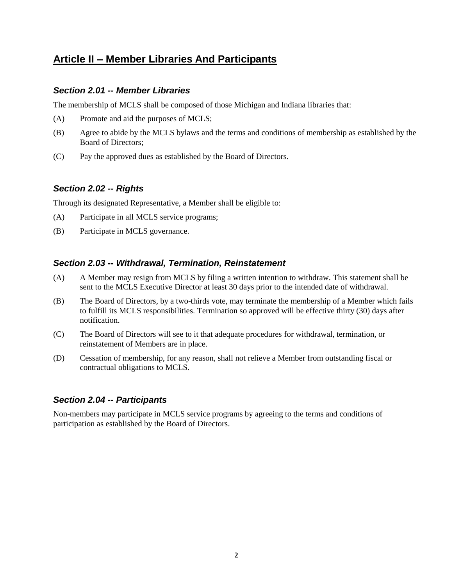# **Article II – Member Libraries And Participants**

#### *Section 2.01 -- Member Libraries*

The membership of MCLS shall be composed of those Michigan and Indiana libraries that:

- (A) Promote and aid the purposes of MCLS;
- (B) Agree to abide by the MCLS bylaws and the terms and conditions of membership as established by the Board of Directors;
- (C) Pay the approved dues as established by the Board of Directors.

#### *Section 2.02 -- Rights*

Through its designated Representative, a Member shall be eligible to:

- (A) Participate in all MCLS service programs;
- (B) Participate in MCLS governance.

#### *Section 2.03 -- Withdrawal, Termination, Reinstatement*

- (A) A Member may resign from MCLS by filing a written intention to withdraw. This statement shall be sent to the MCLS Executive Director at least 30 days prior to the intended date of withdrawal.
- (B) The Board of Directors, by a two-thirds vote, may terminate the membership of a Member which fails to fulfill its MCLS responsibilities. Termination so approved will be effective thirty (30) days after notification.
- (C) The Board of Directors will see to it that adequate procedures for withdrawal, termination, or reinstatement of Members are in place.
- (D) Cessation of membership, for any reason, shall not relieve a Member from outstanding fiscal or contractual obligations to MCLS.

#### *Section 2.04 -- Participants*

Non-members may participate in MCLS service programs by agreeing to the terms and conditions of participation as established by the Board of Directors.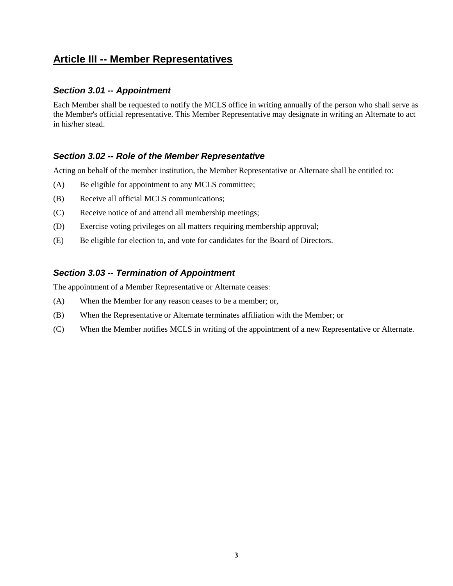# **Article III -- Member Representatives**

#### *Section 3.01 -- Appointment*

Each Member shall be requested to notify the MCLS office in writing annually of the person who shall serve as the Member's official representative. This Member Representative may designate in writing an Alternate to act in his/her stead.

#### *Section 3.02 -- Role of the Member Representative*

Acting on behalf of the member institution, the Member Representative or Alternate shall be entitled to:

- (A) Be eligible for appointment to any MCLS committee;
- (B) Receive all official MCLS communications;
- (C) Receive notice of and attend all membership meetings;
- (D) Exercise voting privileges on all matters requiring membership approval;
- (E) Be eligible for election to, and vote for candidates for the Board of Directors.

#### *Section 3.03 -- Termination of Appointment*

The appointment of a Member Representative or Alternate ceases:

- (A) When the Member for any reason ceases to be a member; or,
- (B) When the Representative or Alternate terminates affiliation with the Member; or
- (C) When the Member notifies MCLS in writing of the appointment of a new Representative or Alternate.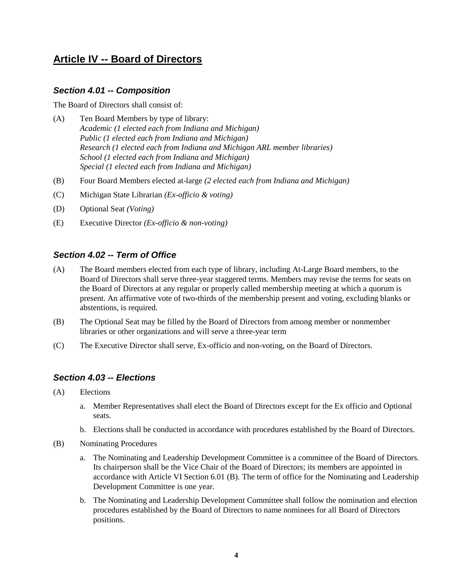# **Article IV -- Board of Directors**

#### *Section 4.01 -- Composition*

The Board of Directors shall consist of:

- (A) Ten Board Members by type of library: *Academic (1 elected each from Indiana and Michigan) Public (1 elected each from Indiana and Michigan) Research (1 elected each from Indiana and Michigan ARL member libraries) School (1 elected each from Indiana and Michigan) Special (1 elected each from Indiana and Michigan)*
- (B) Four Board Members elected at-large *(2 elected each from Indiana and Michigan)*
- (C) Michigan State Librarian *(Ex-officio & voting)*
- (D) Optional Seat *(Voting)*
- (E) Executive Director *(Ex-officio & non-voting)*

#### *Section 4.02 -- Term of Office*

- (A) The Board members elected from each type of library, including At-Large Board members, to the Board of Directors shall serve three-year staggered terms. Members may revise the terms for seats on the Board of Directors at any regular or properly called membership meeting at which a quorum is present. An affirmative vote of two-thirds of the membership present and voting, excluding blanks or abstentions, is required.
- (B) The Optional Seat may be filled by the Board of Directors from among member or nonmember libraries or other organizations and will serve a three-year term
- (C) The Executive Director shall serve, Ex-officio and non-voting, on the Board of Directors.

#### *Section 4.03 -- Elections*

- (A) Elections
	- a. Member Representatives shall elect the Board of Directors except for the Ex officio and Optional seats.
	- b. Elections shall be conducted in accordance with procedures established by the Board of Directors.
- (B) Nominating Procedures
	- a. The Nominating and Leadership Development Committee is a committee of the Board of Directors. Its chairperson shall be the Vice Chair of the Board of Directors; its members are appointed in accordance with Article VI Section 6.01 (B). The term of office for the Nominating and Leadership Development Committee is one year.
	- b. The Nominating and Leadership Development Committee shall follow the nomination and election procedures established by the Board of Directors to name nominees for all Board of Directors positions.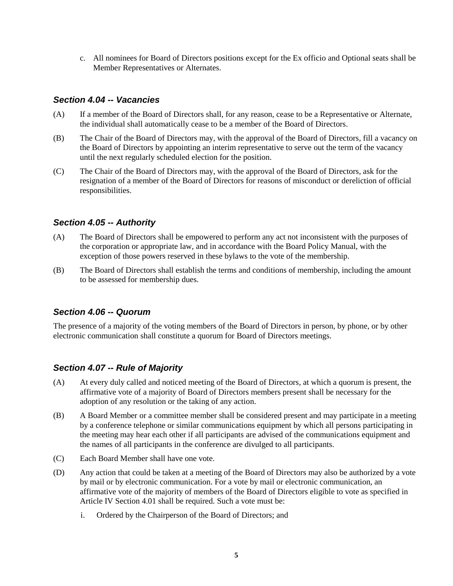c. All nominees for Board of Directors positions except for the Ex officio and Optional seats shall be Member Representatives or Alternates.

#### *Section 4.04 -- Vacancies*

- (A) If a member of the Board of Directors shall, for any reason, cease to be a Representative or Alternate, the individual shall automatically cease to be a member of the Board of Directors.
- (B) The Chair of the Board of Directors may, with the approval of the Board of Directors, fill a vacancy on the Board of Directors by appointing an interim representative to serve out the term of the vacancy until the next regularly scheduled election for the position.
- (C) The Chair of the Board of Directors may, with the approval of the Board of Directors, ask for the resignation of a member of the Board of Directors for reasons of misconduct or dereliction of official responsibilities.

#### *Section 4.05 -- Authority*

- (A) The Board of Directors shall be empowered to perform any act not inconsistent with the purposes of the corporation or appropriate law, and in accordance with the Board Policy Manual, with the exception of those powers reserved in these bylaws to the vote of the membership.
- (B) The Board of Directors shall establish the terms and conditions of membership, including the amount to be assessed for membership dues.

#### *Section 4.06 -- Quorum*

The presence of a majority of the voting members of the Board of Directors in person, by phone, or by other electronic communication shall constitute a quorum for Board of Directors meetings.

#### *Section 4.07 -- Rule of Majority*

- (A) At every duly called and noticed meeting of the Board of Directors, at which a quorum is present, the affirmative vote of a majority of Board of Directors members present shall be necessary for the adoption of any resolution or the taking of any action.
- (B) A Board Member or a committee member shall be considered present and may participate in a meeting by a conference telephone or similar communications equipment by which all persons participating in the meeting may hear each other if all participants are advised of the communications equipment and the names of all participants in the conference are divulged to all participants.
- (C) Each Board Member shall have one vote.
- (D) Any action that could be taken at a meeting of the Board of Directors may also be authorized by a vote by mail or by electronic communication. For a vote by mail or electronic communication, an affirmative vote of the majority of members of the Board of Directors eligible to vote as specified in Article IV Section 4.01 shall be required. Such a vote must be:
	- i. Ordered by the Chairperson of the Board of Directors; and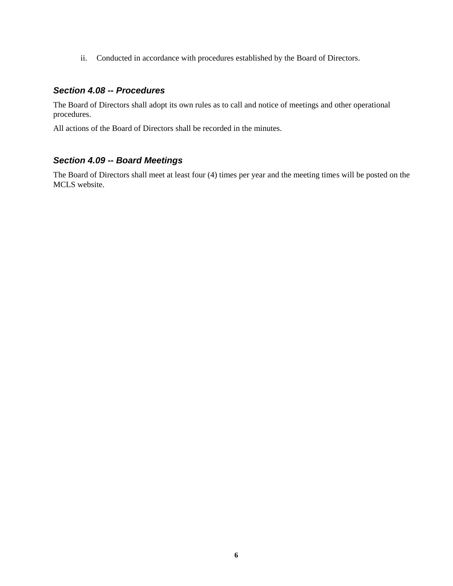ii. Conducted in accordance with procedures established by the Board of Directors.

#### *Section 4.08 -- Procedures*

The Board of Directors shall adopt its own rules as to call and notice of meetings and other operational procedures.

All actions of the Board of Directors shall be recorded in the minutes.

### *Section 4.09 -- Board Meetings*

The Board of Directors shall meet at least four (4) times per year and the meeting times will be posted on the MCLS website.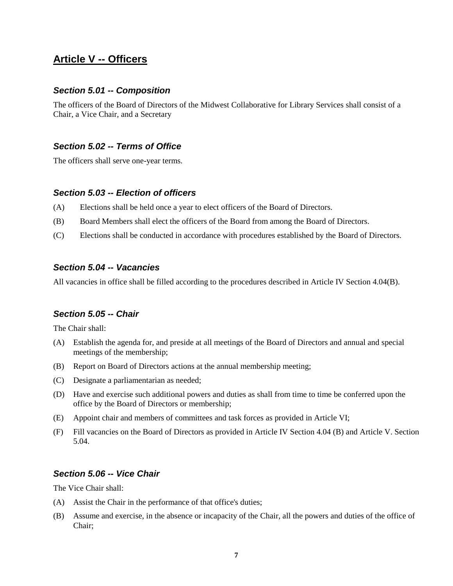### **Article V -- Officers**

#### *Section 5.01 -- Composition*

The officers of the Board of Directors of the Midwest Collaborative for Library Services shall consist of a Chair, a Vice Chair, and a Secretary

#### *Section 5.02 -- Terms of Office*

The officers shall serve one-year terms.

#### *Section 5.03 -- Election of officers*

- (A) Elections shall be held once a year to elect officers of the Board of Directors.
- (B) Board Members shall elect the officers of the Board from among the Board of Directors.
- (C) Elections shall be conducted in accordance with procedures established by the Board of Directors.

#### *Section 5.04 -- Vacancies*

All vacancies in office shall be filled according to the procedures described in Article IV Section 4.04(B).

#### *Section 5.05 -- Chair*

The Chair shall:

- (A) Establish the agenda for, and preside at all meetings of the Board of Directors and annual and special meetings of the membership;
- (B) Report on Board of Directors actions at the annual membership meeting;
- (C) Designate a parliamentarian as needed;
- (D) Have and exercise such additional powers and duties as shall from time to time be conferred upon the office by the Board of Directors or membership;
- (E) Appoint chair and members of committees and task forces as provided in Article VI;
- (F) Fill vacancies on the Board of Directors as provided in Article IV Section 4.04 (B) and Article V. Section 5.04.

#### *Section 5.06 -- Vice Chair*

The Vice Chair shall:

- (A) Assist the Chair in the performance of that office's duties;
- (B) Assume and exercise, in the absence or incapacity of the Chair, all the powers and duties of the office of Chair;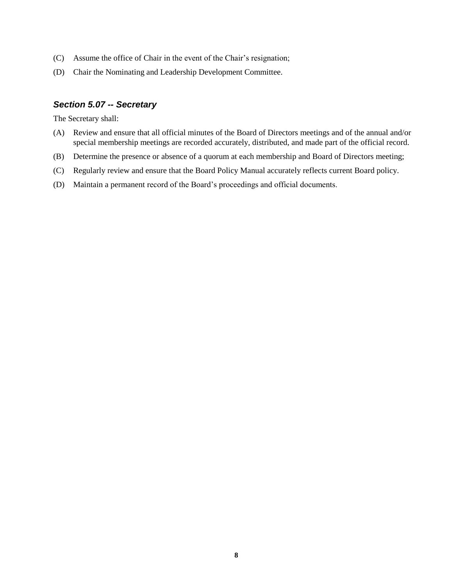- (C) Assume the office of Chair in the event of the Chair's resignation;
- (D) Chair the Nominating and Leadership Development Committee.

#### *Section 5.07 -- Secretary*

The Secretary shall:

- (A) Review and ensure that all official minutes of the Board of Directors meetings and of the annual and/or special membership meetings are recorded accurately, distributed, and made part of the official record.
- (B) Determine the presence or absence of a quorum at each membership and Board of Directors meeting;
- (C) Regularly review and ensure that the Board Policy Manual accurately reflects current Board policy.
- (D) Maintain a permanent record of the Board's proceedings and official documents.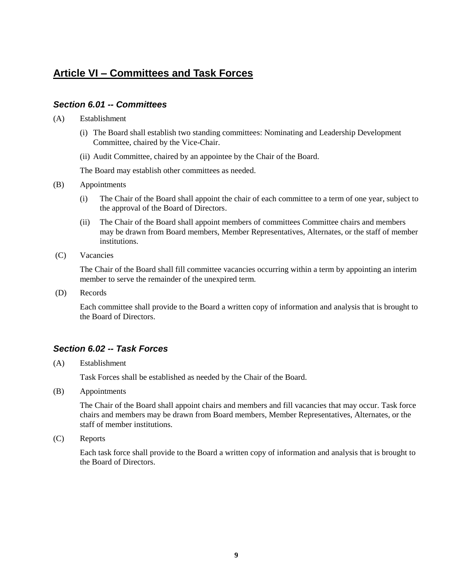# **Article VI – Committees and Task Forces**

#### *Section 6.01 -- Committees*

- (A) Establishment
	- (i) The Board shall establish two standing committees: Nominating and Leadership Development Committee, chaired by the Vice-Chair.
	- (ii) Audit Committee, chaired by an appointee by the Chair of the Board.

The Board may establish other committees as needed.

- (B) Appointments
	- (i) The Chair of the Board shall appoint the chair of each committee to a term of one year, subject to the approval of the Board of Directors.
	- (ii) The Chair of the Board shall appoint members of committees Committee chairs and members may be drawn from Board members, Member Representatives, Alternates, or the staff of member institutions.
- (C) Vacancies

The Chair of the Board shall fill committee vacancies occurring within a term by appointing an interim member to serve the remainder of the unexpired term.

(D) Records

Each committee shall provide to the Board a written copy of information and analysis that is brought to the Board of Directors.

#### *Section 6.02 -- Task Forces*

(A) Establishment

Task Forces shall be established as needed by the Chair of the Board.

(B) Appointments

The Chair of the Board shall appoint chairs and members and fill vacancies that may occur. Task force chairs and members may be drawn from Board members, Member Representatives, Alternates, or the staff of member institutions.

(C) Reports

Each task force shall provide to the Board a written copy of information and analysis that is brought to the Board of Directors.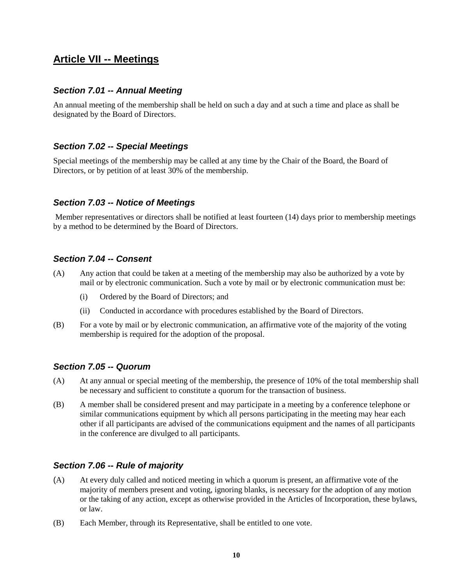### **Article VII -- Meetings**

#### *Section 7.01 -- Annual Meeting*

An annual meeting of the membership shall be held on such a day and at such a time and place as shall be designated by the Board of Directors.

#### *Section 7.02 -- Special Meetings*

Special meetings of the membership may be called at any time by the Chair of the Board, the Board of Directors, or by petition of at least 30% of the membership.

#### *Section 7.03 -- Notice of Meetings*

Member representatives or directors shall be notified at least fourteen (14) days prior to membership meetings by a method to be determined by the Board of Directors.

#### *Section 7.04 -- Consent*

- (A) Any action that could be taken at a meeting of the membership may also be authorized by a vote by mail or by electronic communication. Such a vote by mail or by electronic communication must be:
	- (i) Ordered by the Board of Directors; and
	- (ii) Conducted in accordance with procedures established by the Board of Directors.
- (B) For a vote by mail or by electronic communication, an affirmative vote of the majority of the voting membership is required for the adoption of the proposal.

#### *Section 7.05 -- Quorum*

- (A) At any annual or special meeting of the membership, the presence of 10% of the total membership shall be necessary and sufficient to constitute a quorum for the transaction of business.
- (B) A member shall be considered present and may participate in a meeting by a conference telephone or similar communications equipment by which all persons participating in the meeting may hear each other if all participants are advised of the communications equipment and the names of all participants in the conference are divulged to all participants.

#### *Section 7.06 -- Rule of majority*

- (A) At every duly called and noticed meeting in which a quorum is present, an affirmative vote of the majority of members present and voting, ignoring blanks, is necessary for the adoption of any motion or the taking of any action, except as otherwise provided in the Articles of Incorporation, these bylaws, or law.
- (B) Each Member, through its Representative, shall be entitled to one vote.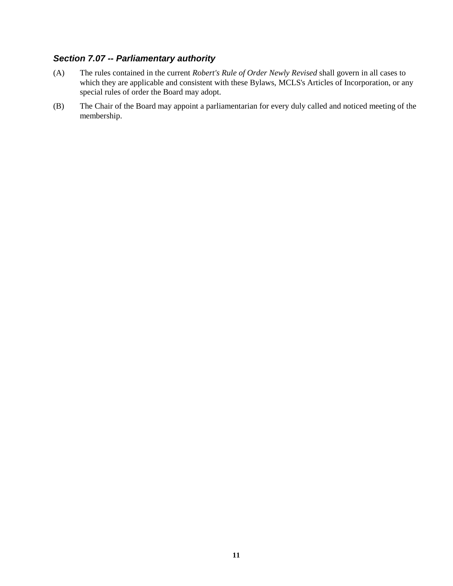### *Section 7.07 -- Parliamentary authority*

- (A) The rules contained in the current *Robert's Rule of Order Newly Revised* shall govern in all cases to which they are applicable and consistent with these Bylaws, MCLS's Articles of Incorporation, or any special rules of order the Board may adopt.
- (B) The Chair of the Board may appoint a parliamentarian for every duly called and noticed meeting of the membership.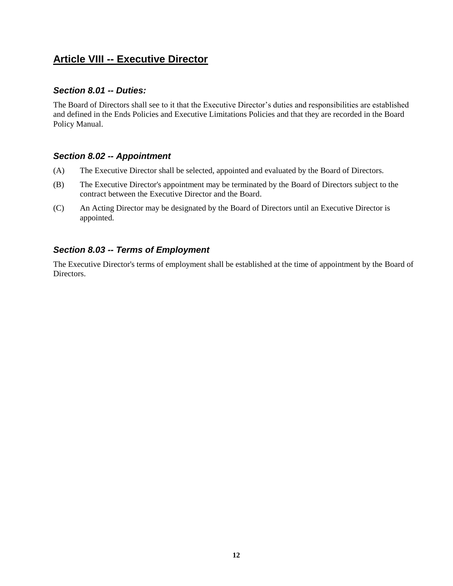# **Article VIII -- Executive Director**

#### *Section 8.01 -- Duties:*

The Board of Directors shall see to it that the Executive Director's duties and responsibilities are established and defined in the Ends Policies and Executive Limitations Policies and that they are recorded in the Board Policy Manual.

#### *Section 8.02 -- Appointment*

- (A) The Executive Director shall be selected, appointed and evaluated by the Board of Directors.
- (B) The Executive Director's appointment may be terminated by the Board of Directors subject to the contract between the Executive Director and the Board.
- (C) An Acting Director may be designated by the Board of Directors until an Executive Director is appointed.

### *Section 8.03 -- Terms of Employment*

The Executive Director's terms of employment shall be established at the time of appointment by the Board of Directors.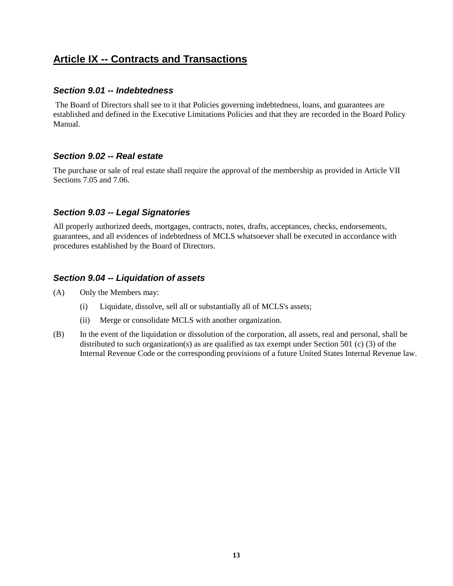# **Article IX -- Contracts and Transactions**

#### *Section 9.01 -- Indebtedness*

The Board of Directors shall see to it that Policies governing indebtedness, loans, and guarantees are established and defined in the Executive Limitations Policies and that they are recorded in the Board Policy Manual.

#### *Section 9.02 -- Real estate*

The purchase or sale of real estate shall require the approval of the membership as provided in Article VII Sections 7.05 and 7.06.

#### *Section 9.03 -- Legal Signatories*

All properly authorized deeds, mortgages, contracts, notes, drafts, acceptances, checks, endorsements, guarantees, and all evidences of indebtedness of MCLS whatsoever shall be executed in accordance with procedures established by the Board of Directors.

#### *Section 9.04 -- Liquidation of assets*

- (A) Only the Members may:
	- (i) Liquidate, dissolve, sell all or substantially all of MCLS's assets;
	- (ii) Merge or consolidate MCLS with another organization.
- (B) In the event of the liquidation or dissolution of the corporation, all assets, real and personal, shall be distributed to such organization(s) as are qualified as tax exempt under Section 501 (c) (3) of the Internal Revenue Code or the corresponding provisions of a future United States Internal Revenue law.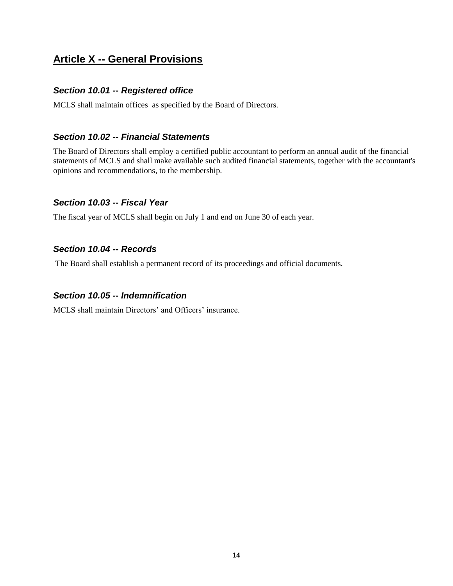# **Article X -- General Provisions**

#### *Section 10.01 -- Registered office*

MCLS shall maintain offices as specified by the Board of Directors.

#### *Section 10.02 -- Financial Statements*

The Board of Directors shall employ a certified public accountant to perform an annual audit of the financial statements of MCLS and shall make available such audited financial statements, together with the accountant's opinions and recommendations, to the membership.

### *Section 10.03 -- Fiscal Year*

The fiscal year of MCLS shall begin on July 1 and end on June 30 of each year.

### *Section 10.04 -- Records*

The Board shall establish a permanent record of its proceedings and official documents.

#### *Section 10.05 -- Indemnification*

MCLS shall maintain Directors' and Officers' insurance.